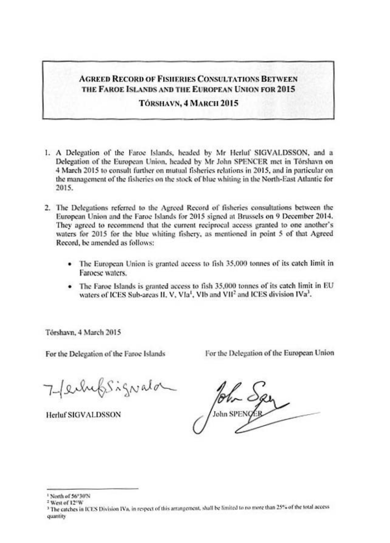# **AGREED RECORD OF FISHERIES CONSULTATIONS BETWEEN** THE FAROE ISLANDS AND THE EUROPEAN UNION FOR 2015

## TÓRSHAVN, 4 MARCH 2015

- 1. A Delegation of the Faroe Islands, headed by Mr Herluf SIGVALDSSON, and a Delegation of the European Union, headed by Mr John SPENCER met in Torshavn on 4 March 2015 to consult further on mutual fisheries relations in 2015, and in particular on the management of the fisheries on the stock of blue whiting in the North-East Atlantic for 2015.
- 2. The Delegations referred to the Agreed Record of fisheries consultations between the European Union and the Faroe Islands for 2015 signed at Brussels on 9 December 2014. They agreed to recommend that the current reciprocal access granted to one another's waters for 2015 for the blue whiting fishery, as mentioned in point 5 of that Agreed Record, be amended as follows:
	- The European Union is granted access to fish 35,000 tonnes of its catch limit in Faroese waters.
	- The Faroe Islands is granted access to fish 35,000 tonnes of its catch limit in EU waters of ICES Sub-areas II, V, VIa<sup>1</sup>, VIb and VII<sup>2</sup> and ICES division IVa<sup>3</sup>.

Tórshavn, 4 March 2015

For the Delegation of the Faroe Islands

For the Delegation of the European Union

7- echifsignala

**Herluf SIGVALDSSON** 

John SPENOER

<sup>&</sup>lt;sup>1</sup> North of 56°30'N

<sup>&</sup>lt;sup>2</sup> West of 12°W

<sup>&</sup>lt;sup>3</sup> The catches in ICES Division IVa, in respect of this arrangement, shall be limited to no more than 25% of the total access quantity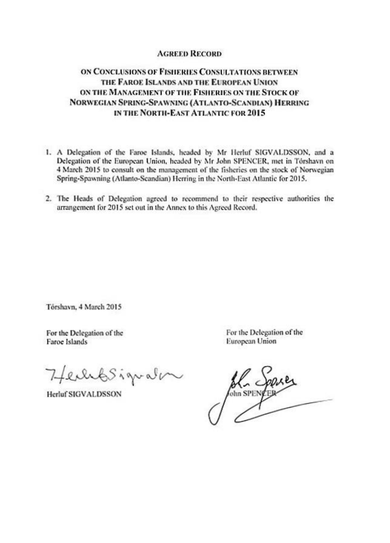### **AGREED RECORD**

## ON CONCLUSIONS OF FISHERIES CONSULTATIONS BETWEEN THE FAROE ISLANDS AND THE EUROPEAN UNION ON THE MANAGEMENT OF THE FISHERIES ON THE STOCK OF NORWEGIAN SPRING-SPAWNING (ATLANTO-SCANDIAN) HERRING IN THE NORTH-EAST ATLANTIC FOR 2015

- 1. A Delegation of the Faroe Islands, headed by Mr Herluf SIGVALDSSON, and a Delegation of the European Union, headed by Mr John SPENCER, met in Tórshavn on 4 March 2015 to consult on the management of the fisheries on the stock of Norwegian Spring-Spawning (Atlanto-Scandian) Herring in the North-East Atlantic for 2015.
- 2. The Heads of Delegation agreed to recommend to their respective authorities the arrangement for 2015 set out in the Annex to this Agreed Record.

Tórshavn, 4 March 2015

For the Delegation of the Faroe Islands

Heihbsigvalor

**Herluf SIGVALDSSON** 

For the Delegation of the European Union

John SPENCER